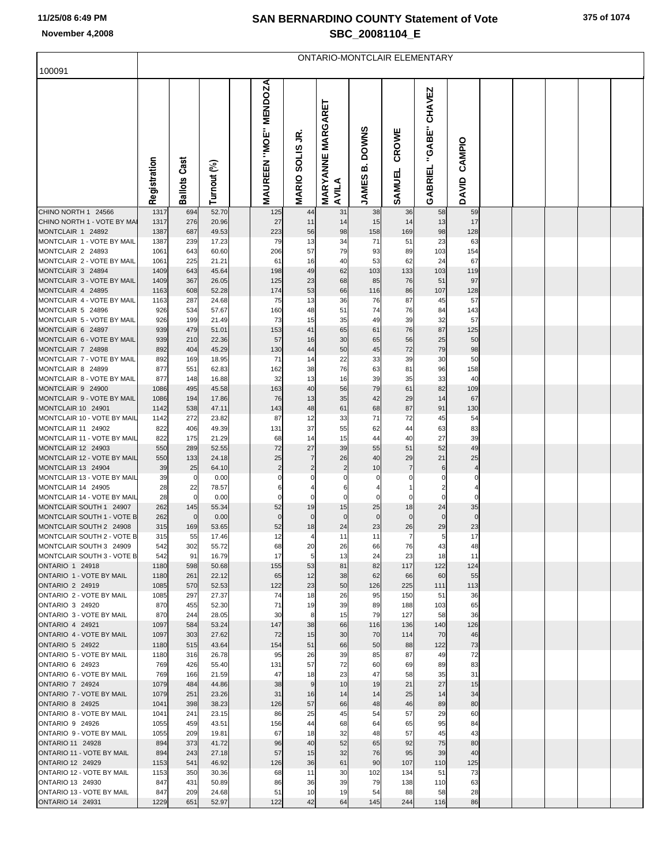## **SAN BERNARDINO COUNTY Statement of Vote November 4,2008 SBC\_20081104\_E**

ONTARIO-MONTCLAIR ELEMENTARY

| 100091                                                |              |                       |                |                       |                    |                          |                   |                    |                     |                     |  |  |  |
|-------------------------------------------------------|--------------|-----------------------|----------------|-----------------------|--------------------|--------------------------|-------------------|--------------------|---------------------|---------------------|--|--|--|
|                                                       |              |                       |                | MAUREEN "MOE" MENDOZA |                    |                          |                   |                    |                     |                     |  |  |  |
|                                                       |              |                       |                |                       |                    |                          |                   |                    | "GABE" CHAVEZ       |                     |  |  |  |
|                                                       |              |                       |                |                       |                    | <b>MARYANNE MARGARET</b> |                   |                    |                     |                     |  |  |  |
|                                                       |              |                       |                |                       | S                  |                          | <b>DOWNS</b>      | CROWE              |                     |                     |  |  |  |
|                                                       |              |                       |                |                       |                    |                          |                   |                    |                     | CAMPIO              |  |  |  |
|                                                       |              | Cast                  |                |                       |                    |                          | ø                 |                    |                     |                     |  |  |  |
|                                                       | Registration | Ballots               | Turnout (%)    |                       | <b>MARIO SOLIS</b> | AVILA                    | <b>JAMES</b>      | SAMUEL             | GABRIEL             | DAVID               |  |  |  |
| CHINO NORTH 1 24566                                   | 1317         | 694                   | 52.70          | 125                   | 44                 | 31                       | 38                | 36                 | 58                  | 59                  |  |  |  |
| CHINO NORTH 1 - VOTE BY MA                            | 1317         | 276                   | 20.96          | 27                    | 11                 | 14                       | 15                | 14                 | 13                  | 17                  |  |  |  |
| MONTCLAIR 1 24892<br>MONTCLAIR 1 - VOTE BY MAIL       | 1387<br>1387 | 687<br>239            | 49.53<br>17.23 | 223<br>79             | 56<br>13           | 98<br>34                 | 158<br>71         | 169<br>51          | 98<br>23            | 128<br>63           |  |  |  |
| MONTCLAIR 2 24893                                     | 1061         | 643                   | 60.60          | 206                   | 57                 | 79                       | 93                | 89                 | 103                 | 154                 |  |  |  |
| MONTCLAIR 2 - VOTE BY MAIL<br>MONTCLAIR 3 24894       | 1061<br>1409 | 225<br>643            | 21.21<br>45.64 | 61<br>198             | 16<br>49           | 40<br>62                 | 53<br>103         | 62<br>133          | 24<br>103           | 67<br>119           |  |  |  |
| MONTCLAIR 3 - VOTE BY MAIL                            | 1409         | 367                   | 26.05          | 125                   | 23                 | 68                       | 85                | 76                 | 51                  | 97                  |  |  |  |
| MONTCLAIR 4 24895                                     | 1163         | 608                   | 52.28          | 174                   | 53                 | 66                       | 116               | 86                 | 107                 | 128                 |  |  |  |
| MONTCLAIR 4 - VOTE BY MAIL<br>MONTCLAIR 5 24896       | 1163<br>926  | 287<br>534            | 24.68<br>57.67 | 75<br>160             | 13<br>48           | 36<br>51                 | 76<br>74          | 87<br>76           | 45<br>84            | 57<br>143           |  |  |  |
| MONTCLAIR 5 - VOTE BY MAIL                            | 926          | 199                   | 21.49          | 73                    | 15                 | 35                       | 49                | 39                 | 32                  | 57                  |  |  |  |
| MONTCLAIR 6 24897<br>MONTCLAIR 6 - VOTE BY MAIL       | 939          | 479                   | 51.01          | 153                   | 41                 | 65                       | 61                | 76                 | 87                  | 125                 |  |  |  |
| MONTCLAIR 7 24898                                     | 939<br>892   | 210<br>404            | 22.36<br>45.29 | 57<br>130             | 16<br>44           | 30<br>50                 | 65<br>45          | 56<br>72           | 25<br>79            | 50<br>98            |  |  |  |
| MONTCLAIR 7 - VOTE BY MAIL                            | 892          | 169                   | 18.95          | 71                    | 14                 | 22                       | 33                | 39                 | 30                  | 50                  |  |  |  |
| MONTCLAIR 8 24899<br>MONTCLAIR 8 - VOTE BY MAIL       | 877<br>877   | 551<br>148            | 62.83<br>16.88 | 162<br>32             | 38<br>13           | 76<br>16                 | 63<br>39          | 81<br>35           | 96<br>33            | 158<br>40           |  |  |  |
| MONTCLAIR 9 24900                                     | 1086         | 495                   | 45.58          | 163                   | 40                 | 56                       | 79                | 61                 | 82                  | 109                 |  |  |  |
| MONTCLAIR 9 - VOTE BY MAIL                            | 1086         | 194                   | 17.86          | 76                    | 13                 | 35                       | 42                | 29                 | 14                  | 67                  |  |  |  |
| MONTCLAIR 10 24901<br>MONTCLAIR 10 - VOTE BY MAIL     | 1142<br>1142 | 538<br>272            | 47.11<br>23.82 | 143<br>87             | 48<br>12           | 61<br>33                 | 68<br>71          | 87<br>72           | 91<br>45            | 130<br>54           |  |  |  |
| MONTCLAIR 11 24902                                    | 822          | 406                   | 49.39          | 131                   | 37                 | 55                       | 62                | 44                 | 63                  | 83                  |  |  |  |
| MONTCLAIR 11 - VOTE BY MAIL<br>MONTCLAIR 12 24903     | 822<br>550   | 175<br>289            | 21.29<br>52.55 | 68<br>72              | 14<br>27           | 15<br>39                 | 44<br>55          | 40<br>51           | 27<br>52            | 39<br>49            |  |  |  |
| MONTCLAIR 12 - VOTE BY MAIL                           | 550          | 133                   | 24.18          | 25                    | 7                  | 26                       | 40                | 29                 | 21                  | 25                  |  |  |  |
| MONTCLAIR 13 24904                                    | 39           | 25                    | 64.10          |                       |                    | $\overline{2}$           | 10                | 7                  | 6                   |                     |  |  |  |
| MONTCLAIR 13 - VOTE BY MAIL<br>MONTCLAIR 14 24905     | 39<br>28     | 0<br>22               | 0.00<br>78.57  | 0<br>6                |                    | 6                        | 0<br>4            | 0                  | 0<br>$\overline{2}$ | 0<br>$\overline{4}$ |  |  |  |
| MONTCLAIR 14 - VOTE BY MAIL                           | 28           | $\mathbf 0$           | 0.00           | $\Omega$              | 0                  | 0                        | 0                 | $\mathbf 0$        | $\mathbf 0$         | $\Omega$            |  |  |  |
| MONTCLAIR SOUTH 1 24907<br>MONTCLAIR SOUTH 1 - VOTE B | 262<br>262   | 145<br>$\overline{0}$ | 55.34<br>0.00  | 52<br>$\mathbf{0}$    | 19<br>$\mathbf 0$  | 15<br>$\mathbf{0}$       | 25<br>$\mathbf 0$ | 18<br>$\mathbf{0}$ | 24<br>$\mathbf 0$   | 35<br>$\Omega$      |  |  |  |
| MONTCLAIR SOUTH 2 24908                               | 315          | 169                   | 53.65          | 52                    | 18                 | 24                       | 23                | 26                 | 29                  | 23                  |  |  |  |
| MONTCLAIR SOUTH 2 - VOTE B                            | 315          | 55                    | 17.46          | 12                    |                    | 11                       | 11                | 7                  | 5                   | 17                  |  |  |  |
| MONTCLAIR SOUTH 3 24909<br>MONTCLAIR SOUTH 3 - VOTE B | 542<br>542   | 302<br>91             | 55.72<br>16.79 | 68<br>17              | 20                 | 26<br>13                 | 66<br>24          | 76<br>23           | 43<br>18            | 48                  |  |  |  |
| <b>ONTARIO 1 24918</b>                                | 1180         | 598                   | 50.68          | 155                   | 53                 | 81                       | 82                | 117                | 122                 | 124                 |  |  |  |
| ONTARIO 1 - VOTE BY MAIL<br><b>ONTARIO 2 24919</b>    | 1180<br>1085 | 261<br>570            | 22.12<br>52.53 | 65<br>122             | 12<br>23           | 38<br>50                 | 62<br>126         | 66<br>225          | 60<br>111           | 55<br>113           |  |  |  |
| ONTARIO 2 - VOTE BY MAIL                              | 1085         | 297                   | 27.37          | 74                    | 18                 | 26                       | 95                | 150                | 51                  | 36                  |  |  |  |
| ONTARIO 3 24920                                       | 870          | 455                   | 52.30          | 71                    | 19                 | 39                       | 89                | 188                | 103                 | 65                  |  |  |  |
| ONTARIO 3 - VOTE BY MAIL<br>ONTARIO 4 24921           | 870<br>1097  | 244<br>584            | 28.05<br>53.24 | 30<br>147             | 8<br>38            | 15<br>66                 | 79<br>116         | 127<br>136         | 58<br>140           | 36<br>126           |  |  |  |
| ONTARIO 4 - VOTE BY MAIL                              | 1097         | 303                   | 27.62          | 72                    | 15                 | 30                       | 70                | 114                | 70                  | 46                  |  |  |  |
| <b>ONTARIO 5 24922</b><br>ONTARIO 5 - VOTE BY MAIL    | 1180<br>1180 | 515<br>316            | 43.64<br>26.78 | 154<br>95             | 51<br>26           | 66<br>39                 | 50<br>85          | 88<br>87           | 122<br>49           | 73<br>72            |  |  |  |
| ONTARIO 6 24923                                       | 769          | 426                   | 55.40          | 131                   | 57                 | 72                       | 60                | 69                 | 89                  | 83                  |  |  |  |
| ONTARIO 6 - VOTE BY MAIL                              | 769          | 166                   | 21.59          | 47                    | 18                 | 23                       | 47                | 58                 | 35                  | 31                  |  |  |  |
| <b>ONTARIO 7 24924</b><br>ONTARIO 7 - VOTE BY MAIL    | 1079<br>1079 | 484<br>251            | 44.86<br>23.26 | 38<br>31              | 9<br>16            | 10<br>14                 | 19<br>14          | 21<br>25           | 27<br>14            | 15<br>34            |  |  |  |
| <b>ONTARIO 8 24925</b>                                | 1041         | 398                   | 38.23          | 126                   | 57                 | 66                       | 48                | 46                 | 89                  | 80                  |  |  |  |
| ONTARIO 8 - VOTE BY MAIL                              | 1041         | 241                   | 23.15          | 86                    | 25                 | 45                       | 54                | 57                 | 29                  | 60                  |  |  |  |
| ONTARIO 9 24926<br>ONTARIO 9 - VOTE BY MAIL           | 1055<br>1055 | 459<br>209            | 43.51<br>19.81 | 156<br>67             | 44<br>18           | 68<br>32                 | 64<br>48          | 65<br>57           | 95<br>45            | 84<br>43            |  |  |  |
| <b>ONTARIO 11 24928</b>                               | 894          | 373                   | 41.72          | 96                    | 40                 | 52                       | 65                | 92                 | 75                  | 80                  |  |  |  |
| ONTARIO 11 - VOTE BY MAIL<br><b>ONTARIO 12 24929</b>  | 894<br>1153  | 243<br>541            | 27.18<br>46.92 | 57<br>126             | 15<br>36           | 32<br>61                 | 76<br>90          | 95<br>107          | 39<br>110           | 40<br>125           |  |  |  |
| ONTARIO 12 - VOTE BY MAIL                             | 1153         | 350                   | 30.36          | 68                    | 11                 | 30                       | 102               | 134                | 51                  | 73                  |  |  |  |
| ONTARIO 13 24930<br>ONTARIO 13 - VOTE BY MAIL         | 847<br>847   | 431<br>209            | 50.89          | 86<br>51              | 36<br>10           | 39                       | 79<br>54          | 138<br>88          | 110<br>58           | 63                  |  |  |  |
| ONTARIO 14 24931                                      | 1229         | 651                   | 24.68<br>52.97 | 122                   | 42                 | 19<br>64                 | 145               | 244                | 116                 | 28<br>86            |  |  |  |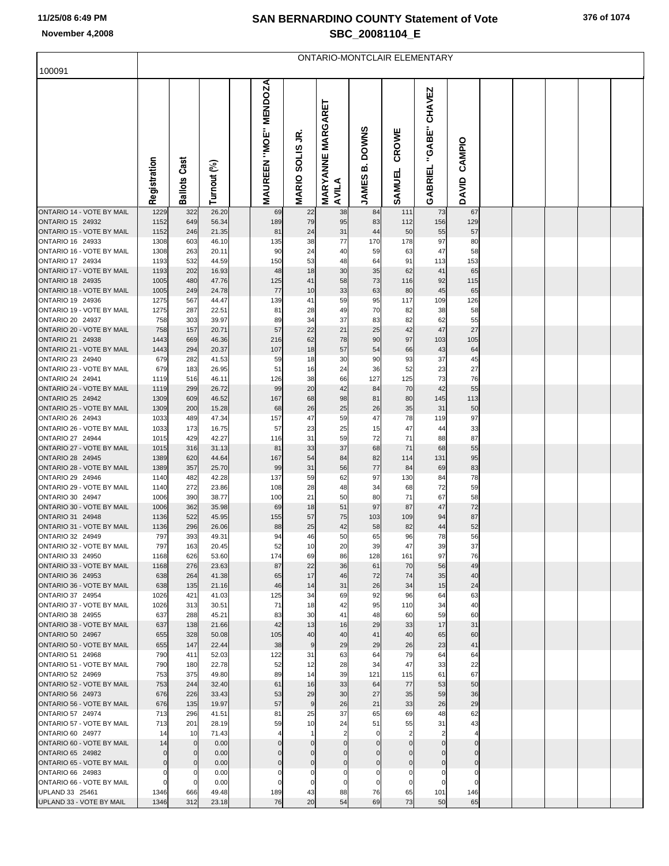# **SAN BERNARDINO COUNTY Statement of Vote November 4,2008 SBC\_20081104\_E**

|  | 376 of 1074 |
|--|-------------|
|  |             |

| 100091                                                      | ONTARIO-MONTCLAIR ELEMENTARY |                  |                |  |                                        |                   |                            |                            |                            |                          |                             |  |  |  |  |
|-------------------------------------------------------------|------------------------------|------------------|----------------|--|----------------------------------------|-------------------|----------------------------|----------------------------|----------------------------|--------------------------|-----------------------------|--|--|--|--|
|                                                             | Registration                 | Cast             | Turnout (%)    |  | <b>MENDOZA</b><br><b>MAUREEN "MOE"</b> | S<br><b>SOLIS</b> | <b>MARYANNE MARGARET</b>   | <b>DOWNS</b><br>ΩÓ         | CROWE                      | <b>CHAVEZ</b><br>"GABE"  | <b>CAMPIO</b>               |  |  |  |  |
|                                                             |                              | <b>Ballots</b>   |                |  |                                        | <b>MARIO</b>      | AVILA                      | <b>JAMES</b>               | SAMUEL                     | GABRIEL                  | DAVID                       |  |  |  |  |
| <b>ONTARIO 14 - VOTE BY MAIL</b>                            | 1229                         | 322              | 26.20          |  | 69                                     | 22                | 38                         | 84                         | 111                        | 73                       | 67                          |  |  |  |  |
| <b>ONTARIO 15 24932</b><br>ONTARIO 15 - VOTE BY MAIL        | 1152<br>1152                 | 649<br>246       | 56.34<br>21.35 |  | 189<br>81                              | 79<br>24          | 95<br>31                   | 83<br>44                   | 112<br>50                  | 156<br>55                | 129<br>57                   |  |  |  |  |
| <b>ONTARIO 16 24933</b>                                     | 1308                         | 603              | 46.10          |  | 135                                    | 38                | 77                         | 170                        | 178                        | 97                       | 80                          |  |  |  |  |
| ONTARIO 16 - VOTE BY MAIL<br><b>ONTARIO 17 24934</b>        | 1308<br>1193                 | 263<br>532       | 20.11<br>44.59 |  | 90<br>150                              | 24<br>53          | 40<br>48                   | 59<br>64                   | 63<br>91                   | 47<br>113                | 58<br>153                   |  |  |  |  |
| ONTARIO 17 - VOTE BY MAIL                                   | 1193                         | 202              | 16.93          |  | 48                                     | 18                | 30                         | 35                         | 62                         | 41                       | 65                          |  |  |  |  |
| <b>ONTARIO 18 24935</b><br><b>ONTARIO 18 - VOTE BY MAIL</b> | 1005                         | 480              | 47.76          |  | 125                                    | 41                | 58                         | 73                         | 116                        | 92                       | 115                         |  |  |  |  |
| ONTARIO 19 24936                                            | 1005<br>1275                 | 249<br>567       | 24.78<br>44.47 |  | 77<br>139                              | 10<br>41          | 33<br>59                   | 63<br>95                   | 80<br>117                  | 45<br>109                | 65<br>126                   |  |  |  |  |
| ONTARIO 19 - VOTE BY MAIL                                   | 1275                         | 287              | 22.51          |  | 81                                     | 28                | 49                         | 70                         | 82                         | 38                       | 58                          |  |  |  |  |
| ONTARIO 20 24937<br>ONTARIO 20 - VOTE BY MAIL               | 758<br>758                   | 303<br>157       | 39.97<br>20.71 |  | 89<br>57                               | 34<br>22          | 37<br>21                   | 83<br>25                   | 82<br>42                   | 62<br>47                 | 55<br>27                    |  |  |  |  |
| ONTARIO 21 24938                                            | 1443                         | 669              | 46.36          |  | 216                                    | 62                | 78                         | 90                         | 97                         | 103                      | 105                         |  |  |  |  |
| ONTARIO 21 - VOTE BY MAIL                                   | 1443                         | 294              | 20.37          |  | 107                                    | 18                | 57                         | 54                         | 66                         | 43                       | 64                          |  |  |  |  |
| ONTARIO 23 24940<br>ONTARIO 23 - VOTE BY MAIL               | 679<br>679                   | 282<br>183       | 41.53<br>26.95 |  | 59<br>51                               | 18<br>16          | 30<br>24                   | 90<br>36                   | 93<br>52                   | 37<br>23                 | 45<br>27                    |  |  |  |  |
| <b>ONTARIO 24 24941</b>                                     | 1119                         | 516              | 46.11          |  | 126                                    | 38                | 66                         | 127                        | 125                        | 73                       | 76                          |  |  |  |  |
| ONTARIO 24 - VOTE BY MAIL<br><b>ONTARIO 25 24942</b>        | 1119                         | 299              | 26.72          |  | 99                                     | 20                | 42                         | 84                         | 70                         | 42                       | 55                          |  |  |  |  |
| ONTARIO 25 - VOTE BY MAIL                                   | 1309<br>1309                 | 609<br>200       | 46.52<br>15.28 |  | 167<br>68                              | 68<br>26          | 98<br>25                   | 81<br>26                   | 80<br>35                   | 145<br>31                | 113<br>50                   |  |  |  |  |
| <b>ONTARIO 26 24943</b>                                     | 1033                         | 489              | 47.34          |  | 157                                    | 47                | 59                         | 47                         | 78                         | 119                      | 97                          |  |  |  |  |
| ONTARIO 26 - VOTE BY MAIL<br><b>ONTARIO 27 24944</b>        | 1033<br>1015                 | 173<br>429       | 16.75<br>42.27 |  | 57<br>116                              | 23<br>31          | 25<br>59                   | 15<br>72                   | 47<br>71                   | 44<br>88                 | 33<br>87                    |  |  |  |  |
| ONTARIO 27 - VOTE BY MAIL                                   | 1015                         | 316              | 31.13          |  | 81                                     | 33                | 37                         | 68                         | 71                         | 68                       | 55                          |  |  |  |  |
| <b>ONTARIO 28 24945</b>                                     | 1389                         | 620              | 44.64          |  | 167                                    | 54                | 84                         | 82                         | 114                        | 131                      | 95                          |  |  |  |  |
| ONTARIO 28 - VOTE BY MAIL<br>ONTARIO 29 24946               | 1389<br>1140                 | 357<br>482       | 25.70<br>42.28 |  | 99<br>137                              | 31<br>59          | 56<br>62                   | 77<br>97                   | 84<br>130                  | 69<br>84                 | 83<br>78                    |  |  |  |  |
| ONTARIO 29 - VOTE BY MAIL                                   | 1140                         | 272              | 23.86          |  | 108                                    | 28                | 48                         | 34                         | 68                         | 72                       | 59                          |  |  |  |  |
| ONTARIO 30 24947<br>ONTARIO 30 - VOTE BY MAIL               | 1006<br>1006                 | 390<br>362       | 38.77<br>35.98 |  | 100<br>69                              | 21<br>18          | 50<br>51                   | 80<br>97                   | 71<br>87                   | 67<br>47                 | 58<br>72                    |  |  |  |  |
| ONTARIO 31 24948                                            | 1136                         | 522              | 45.95          |  | 155                                    | 57                | 75                         | 103                        | 109                        | 94                       | 87                          |  |  |  |  |
| ONTARIO 31 - VOTE BY MAIL                                   | 1136                         | 296              | 26.06          |  | 88                                     | 25                | 42                         | 58                         | 82                         | 44                       | 52                          |  |  |  |  |
| ONTARIO 32 24949<br>ONTARIO 32 - VOTE BY MAIL               | 797<br>797                   | 393<br>163       | 49.31<br>20.45 |  | 94<br>52                               | 46<br>10          | 50<br>20                   | 65<br>39                   | 96<br>47                   | 78<br>39                 | 56<br>37                    |  |  |  |  |
| ONTARIO 33 24950                                            | 1168                         | 626              | 53.60          |  | 174                                    | 69                | 86                         | 128                        | 161                        | 97                       | 76                          |  |  |  |  |
| ONTARIO 33 - VOTE BY MAIL<br>ONTARIO 36 24953               | 1168<br>638                  | 276<br>264       | 23.63<br>41.38 |  | 87<br>65                               | 22<br>17          | 36<br>46                   | 61<br>72                   | 70<br>74                   | 56<br>35                 | 49<br>40                    |  |  |  |  |
| ONTARIO 36 - VOTE BY MAIL                                   | 638                          | 135              | 21.16          |  | 46                                     | 14                | 31                         | 26                         | 34                         | 15                       | 24                          |  |  |  |  |
| ONTARIO 37 24954                                            | 1026                         | 421              | 41.03          |  | 125                                    | 34                | 69                         | 92                         | 96                         | 64                       | 63                          |  |  |  |  |
| ONTARIO 37 - VOTE BY MAIL<br>ONTARIO 38 24955               | 1026<br>637                  | 313<br>288       | 30.51<br>45.21 |  | 71<br>83                               | 18<br>30          | 42<br>41                   | 95<br>48                   | 110<br>60                  | 34<br>59                 | 40<br>60                    |  |  |  |  |
| ONTARIO 38 - VOTE BY MAIL                                   | 637                          | 138              | 21.66          |  | 42                                     | 13                | 16                         | 29                         | 33                         | 17                       | 31                          |  |  |  |  |
| ONTARIO 50 24967<br>ONTARIO 50 - VOTE BY MAIL               | 655<br>655                   | 328<br>147       | 50.08<br>22.44 |  | 105<br>38                              | 40<br>9           | 40<br>29                   | 41<br>29                   | 40<br>26                   | 65<br>23                 | 60<br>41                    |  |  |  |  |
| ONTARIO 51 24968                                            | 790                          | 411              | 52.03          |  | 122                                    | 31                | 63                         | 64                         | 79                         | 64                       | 64                          |  |  |  |  |
| ONTARIO 51 - VOTE BY MAIL                                   | 790                          | 180              | 22.78          |  | 52                                     | 12                | 28                         | 34                         | 47                         | 33                       | 22                          |  |  |  |  |
| ONTARIO 52 24969<br>ONTARIO 52 - VOTE BY MAIL               | 753<br>753                   | 375<br>244       | 49.80<br>32.40 |  | 89<br>61                               | 14<br>16          | 39<br>33                   | 121<br>64                  | 115<br>77                  | 61<br>53                 | 67<br>50                    |  |  |  |  |
| ONTARIO 56 24973                                            | 676                          | 226              | 33.43          |  | 53                                     | 29                | 30                         | 27                         | 35                         | 59                       | 36                          |  |  |  |  |
| ONTARIO 56 - VOTE BY MAIL<br>ONTARIO 57 24974               | 676<br>713                   | 135<br>296       | 19.97<br>41.51 |  | 57<br>81                               | 9<br>25           | 26<br>37                   | 21<br>65                   | 33<br>69                   | 26<br>48                 | 29<br>62                    |  |  |  |  |
| ONTARIO 57 - VOTE BY MAIL                                   | 713                          | 201              | 28.19          |  | 59                                     | 10                | 24                         | 51                         | 55                         | 31                       | 43                          |  |  |  |  |
| ONTARIO 60 24977                                            | 14                           | 10               | 71.43          |  |                                        |                   | $\overline{2}$             | $\mathbf 0$                | $\overline{2}$             | $\overline{2}$           |                             |  |  |  |  |
| ONTARIO 60 - VOTE BY MAIL<br>ONTARIO 65 24982               | 14<br>0                      | $\mathbf 0$<br>0 | 0.00<br>0.00   |  | $\Omega$<br>$\Omega$                   | 0<br>$\mathbf 0$  | $\mathbf 0$<br>$\mathbf 0$ | $\mathbf 0$<br>$\mathbf 0$ | $\mathbf 0$<br>$\mathbf 0$ | $\mathbf{0}$<br>$\Omega$ | $\mathbf 0$<br>$\mathbf{0}$ |  |  |  |  |
| ONTARIO 65 - VOTE BY MAIL                                   | 0                            | $\mathbf 0$      | 0.00           |  | $\overline{0}$                         | $\mathbf 0$       | $\mathbf 0$                | $\overline{0}$             | $\mathbf 0$                | $\mathbf 0$              | $\mathbf 0$                 |  |  |  |  |
| ONTARIO 66 24983                                            | $\Omega$                     | 0                | 0.00           |  |                                        | 0                 | 0                          | $\mathbf 0$                | 0                          | 0                        | $\mathbf 0$                 |  |  |  |  |
| ONTARIO 66 - VOTE BY MAIL<br>UPLAND 33 25461                | 0<br>1346                    | 0<br>666         | 0.00<br>49.48  |  | 189                                    | 0<br>43           | $\mathbf 0$<br>88          | $\overline{0}$<br>76       | 0<br>65                    | $\mathbf 0$<br>101       | $\mathbf 0$<br>146          |  |  |  |  |
| UPLAND 33 - VOTE BY MAIL                                    | 1346                         | 312              | 23.18          |  | 76                                     | 20                | 54                         | 69                         | 73                         | 50                       | 65                          |  |  |  |  |